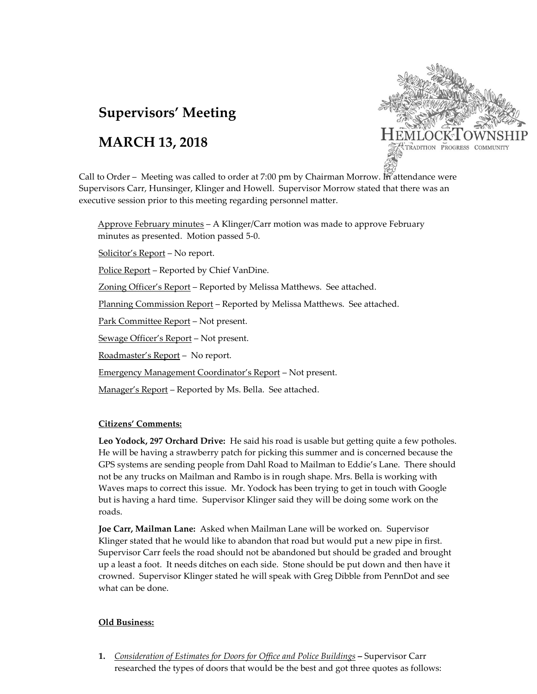# **Supervisors' Meeting**

## **MARCH 13, 2018**



Call to Order – Meeting was called to order at 7:00 pm by Chairman Morrow. In attendance were Supervisors Carr, Hunsinger, Klinger and Howell. Supervisor Morrow stated that there was an executive session prior to this meeting regarding personnel matter.

Approve February minutes – A Klinger/Carr motion was made to approve February minutes as presented. Motion passed 5-0.

Solicitor's Report – No report.

Police Report – Reported by Chief VanDine.

Zoning Officer's Report – Reported by Melissa Matthews. See attached.

Planning Commission Report – Reported by Melissa Matthews. See attached.

Park Committee Report – Not present.

Sewage Officer's Report – Not present.

Roadmaster's Report – No report.

Emergency Management Coordinator's Report – Not present.

Manager's Report - Reported by Ms. Bella. See attached.

### **Citizens' Comments:**

**Leo Yodock, 297 Orchard Drive:** He said his road is usable but getting quite a few potholes. He will be having a strawberry patch for picking this summer and is concerned because the GPS systems are sending people from Dahl Road to Mailman to Eddie's Lane. There should not be any trucks on Mailman and Rambo is in rough shape. Mrs. Bella is working with Waves maps to correct this issue. Mr. Yodock has been trying to get in touch with Google but is having a hard time. Supervisor Klinger said they will be doing some work on the roads.

**Joe Carr, Mailman Lane:** Asked when Mailman Lane will be worked on. Supervisor Klinger stated that he would like to abandon that road but would put a new pipe in first. Supervisor Carr feels the road should not be abandoned but should be graded and brought up a least a foot. It needs ditches on each side. Stone should be put down and then have it crowned. Supervisor Klinger stated he will speak with Greg Dibble from PennDot and see what can be done.

### **Old Business:**

**1.** *Consideration of Estimates for Doors for Office and Police Buildings* **–** Supervisor Carr researched the types of doors that would be the best and got three quotes as follows: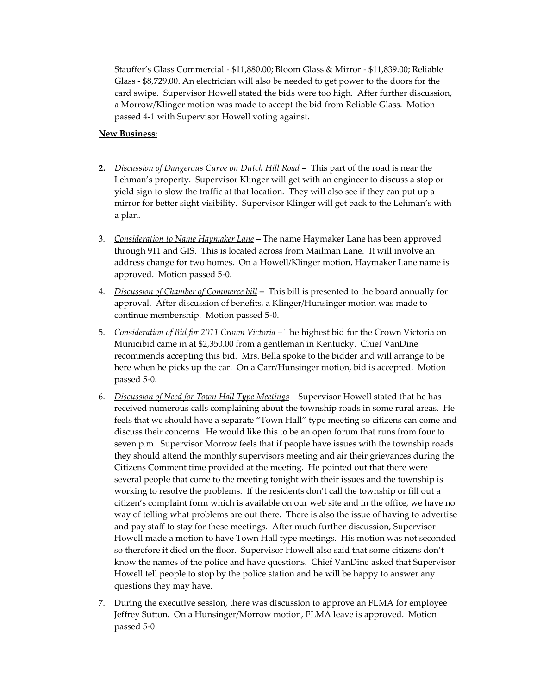Stauffer's Glass Commercial - \$11,880.00; Bloom Glass & Mirror - \$11,839.00; Reliable Glass - \$8,729.00. An electrician will also be needed to get power to the doors for the card swipe. Supervisor Howell stated the bids were too high. After further discussion, a Morrow/Klinger motion was made to accept the bid from Reliable Glass. Motion passed 4-1 with Supervisor Howell voting against.

#### **New Business:**

- **2.** *Discussion of Dangerous Curve on Dutch Hill Road* This part of the road is near the Lehman's property. Supervisor Klinger will get with an engineer to discuss a stop or yield sign to slow the traffic at that location. They will also see if they can put up a mirror for better sight visibility. Supervisor Klinger will get back to the Lehman's with a plan.
- 3. *Consideration to Name Haymaker Lane* The name Haymaker Lane has been approved through 911 and GIS. This is located across from Mailman Lane. It will involve an address change for two homes. On a Howell/Klinger motion, Haymaker Lane name is approved. Motion passed 5-0.
- 4. *Discussion of Chamber of Commerce bill* **–** This bill is presented to the board annually for approval. After discussion of benefits, a Klinger/Hunsinger motion was made to continue membership. Motion passed 5-0.
- 5. *Consideration of Bid for 2011 Crown Victoria* The highest bid for the Crown Victoria on Municibid came in at \$2,350.00 from a gentleman in Kentucky. Chief VanDine recommends accepting this bid. Mrs. Bella spoke to the bidder and will arrange to be here when he picks up the car. On a Carr/Hunsinger motion, bid is accepted. Motion passed 5-0.
- 6. *Discussion of Need for Town Hall Type Meetings* Supervisor Howell stated that he has received numerous calls complaining about the township roads in some rural areas. He feels that we should have a separate "Town Hall" type meeting so citizens can come and discuss their concerns. He would like this to be an open forum that runs from four to seven p.m. Supervisor Morrow feels that if people have issues with the township roads they should attend the monthly supervisors meeting and air their grievances during the Citizens Comment time provided at the meeting. He pointed out that there were several people that come to the meeting tonight with their issues and the township is working to resolve the problems. If the residents don't call the township or fill out a citizen's complaint form which is available on our web site and in the office, we have no way of telling what problems are out there. There is also the issue of having to advertise and pay staff to stay for these meetings. After much further discussion, Supervisor Howell made a motion to have Town Hall type meetings. His motion was not seconded so therefore it died on the floor. Supervisor Howell also said that some citizens don't know the names of the police and have questions. Chief VanDine asked that Supervisor Howell tell people to stop by the police station and he will be happy to answer any questions they may have.
- 7. During the executive session, there was discussion to approve an FLMA for employee Jeffrey Sutton. On a Hunsinger/Morrow motion, FLMA leave is approved. Motion passed 5-0